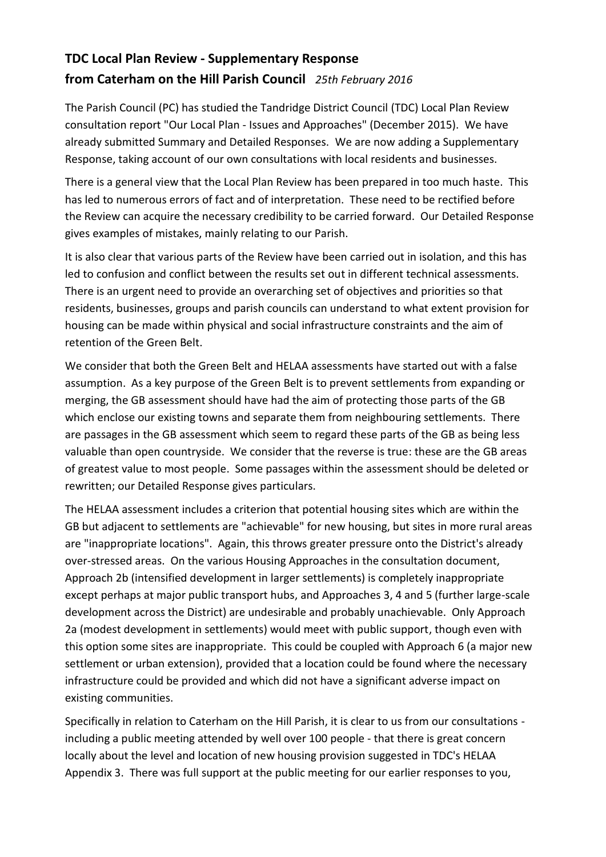## **TDC Local Plan Review - Supplementary Response from Caterham on the Hill Parish Council** *25th February 2016*

The Parish Council (PC) has studied the Tandridge District Council (TDC) Local Plan Review consultation report "Our Local Plan - Issues and Approaches" (December 2015). We have already submitted Summary and Detailed Responses. We are now adding a Supplementary Response, taking account of our own consultations with local residents and businesses.

There is a general view that the Local Plan Review has been prepared in too much haste. This has led to numerous errors of fact and of interpretation. These need to be rectified before the Review can acquire the necessary credibility to be carried forward. Our Detailed Response gives examples of mistakes, mainly relating to our Parish.

It is also clear that various parts of the Review have been carried out in isolation, and this has led to confusion and conflict between the results set out in different technical assessments. There is an urgent need to provide an overarching set of objectives and priorities so that residents, businesses, groups and parish councils can understand to what extent provision for housing can be made within physical and social infrastructure constraints and the aim of retention of the Green Belt.

We consider that both the Green Belt and HELAA assessments have started out with a false assumption. As a key purpose of the Green Belt is to prevent settlements from expanding or merging, the GB assessment should have had the aim of protecting those parts of the GB which enclose our existing towns and separate them from neighbouring settlements. There are passages in the GB assessment which seem to regard these parts of the GB as being less valuable than open countryside. We consider that the reverse is true: these are the GB areas of greatest value to most people. Some passages within the assessment should be deleted or rewritten; our Detailed Response gives particulars.

The HELAA assessment includes a criterion that potential housing sites which are within the GB but adjacent to settlements are "achievable" for new housing, but sites in more rural areas are "inappropriate locations". Again, this throws greater pressure onto the District's already over-stressed areas. On the various Housing Approaches in the consultation document, Approach 2b (intensified development in larger settlements) is completely inappropriate except perhaps at major public transport hubs, and Approaches 3, 4 and 5 (further large-scale development across the District) are undesirable and probably unachievable. Only Approach 2a (modest development in settlements) would meet with public support, though even with this option some sites are inappropriate. This could be coupled with Approach 6 (a major new settlement or urban extension), provided that a location could be found where the necessary infrastructure could be provided and which did not have a significant adverse impact on existing communities.

Specifically in relation to Caterham on the Hill Parish, it is clear to us from our consultations including a public meeting attended by well over 100 people - that there is great concern locally about the level and location of new housing provision suggested in TDC's HELAA Appendix 3. There was full support at the public meeting for our earlier responses to you,